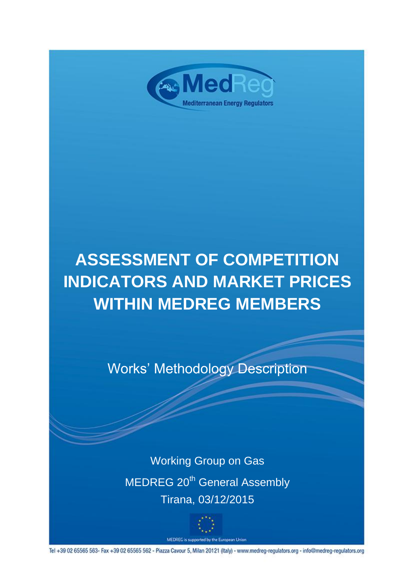

# **ASSESSMENT OF COMPETITION INDICATORS AND MARKET PRICES WITHIN MEDREG MEMBERS**

Works' Methodology Description

Working Group on Gas MEDREG 20<sup>th</sup> General Assembly Tirana, 03/12/2015



MEDREG is supported by the European Union

Tel +39 02 65565 563- Fax +39 02 65565 562 - Piazza Cavour 5, Milan 20121 (Italy) - www.medreg-regulators.org - info@medreg-regulators.org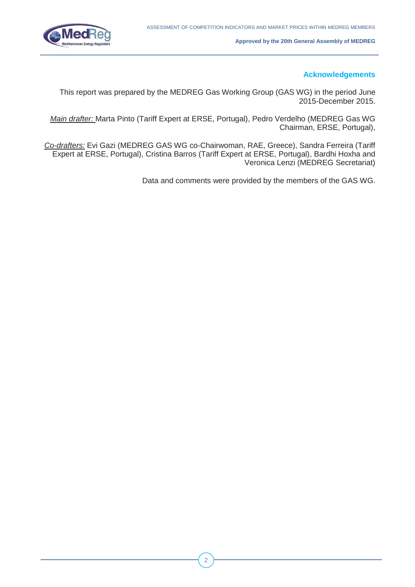

#### **Acknowledgements**

This report was prepared by the MEDREG Gas Working Group (GAS WG) in the period June 2015-December 2015.

*Main drafter:* Marta Pinto (Tariff Expert at ERSE, Portugal), Pedro Verdelho (MEDREG Gas WG Chairman, ERSE, Portugal),

*Co-drafters:* Evi Gazi (MEDREG GAS WG co-Chairwoman, RAE, Greece), Sandra Ferreira (Tariff Expert at ERSE, Portugal), Cristina Barros (Tariff Expert at ERSE, Portugal), Bardhi Hoxha and Veronica Lenzi (MEDREG Secretariat)

Data and comments were provided by the members of the GAS WG.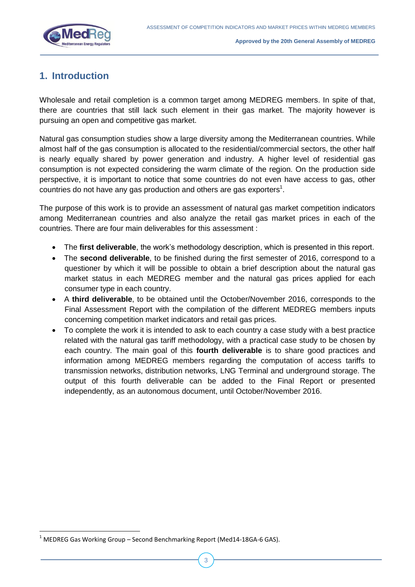

# **1. Introduction**

Wholesale and retail completion is a common target among MEDREG members. In spite of that, there are countries that still lack such element in their gas market. The majority however is pursuing an open and competitive gas market.

Natural gas consumption studies show a large diversity among the Mediterranean countries. While almost half of the gas consumption is allocated to the residential/commercial sectors, the other half is nearly equally shared by power generation and industry. A higher level of residential gas consumption is not expected considering the warm climate of the region. On the production side perspective, it is important to notice that some countries do not even have access to gas, other countries do not have any gas production and others are gas exporters $1$ .

The purpose of this work is to provide an assessment of natural gas market competition indicators among Mediterranean countries and also analyze the retail gas market prices in each of the countries. There are four main deliverables for this assessment :

- The **first deliverable**, the work's methodology description, which is presented in this report.
- The **second deliverable**, to be finished during the first semester of 2016, correspond to a questioner by which it will be possible to obtain a brief description about the natural gas market status in each MEDREG member and the natural gas prices applied for each consumer type in each country.
- A **third deliverable**, to be obtained until the October/November 2016, corresponds to the Final Assessment Report with the compilation of the different MEDREG members inputs concerning competition market indicators and retail gas prices.
- To complete the work it is intended to ask to each country a case study with a best practice related with the natural gas tariff methodology, with a practical case study to be chosen by each country. The main goal of this **fourth deliverable** is to share good practices and information among MEDREG members regarding the computation of access tariffs to transmission networks, distribution networks, LNG Terminal and underground storage. The output of this fourth deliverable can be added to the Final Report or presented independently, as an autonomous document, until October/November 2016.

**.** 

 $1$  MEDREG Gas Working Group – Second Benchmarking Report (Med14-18GA-6 GAS).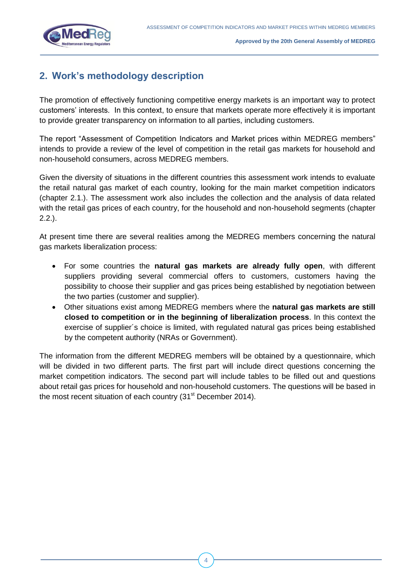

# **2. Work's methodology description**

The promotion of effectively functioning competitive energy markets is an important way to protect customers' interests. In this context, to ensure that markets operate more effectively it is important to provide greater transparency on information to all parties, including customers.

The report "Assessment of Competition Indicators and Market prices within MEDREG members" intends to provide a review of the level of competition in the retail gas markets for household and non-household consumers, across MEDREG members.

Given the diversity of situations in the different countries this assessment work intends to evaluate the retail natural gas market of each country, looking for the main market competition indicators (chapter 2.1.). The assessment work also includes the collection and the analysis of data related with the retail gas prices of each country, for the household and non-household segments (chapter 2.2.).

At present time there are several realities among the MEDREG members concerning the natural gas markets liberalization process:

- For some countries the **natural gas markets are already fully open**, with different suppliers providing several commercial offers to customers, customers having the possibility to choose their supplier and gas prices being established by negotiation between the two parties (customer and supplier).
- Other situations exist among MEDREG members where the **natural gas markets are still closed to competition or in the beginning of liberalization process**. In this context the exercise of supplier´s choice is limited, with regulated natural gas prices being established by the competent authority (NRAs or Government).

The information from the different MEDREG members will be obtained by a questionnaire, which will be divided in two different parts. The first part will include direct questions concerning the market competition indicators. The second part will include tables to be filled out and questions about retail gas prices for household and non-household customers. The questions will be based in the most recent situation of each country  $(31<sup>st</sup>$  December 2014).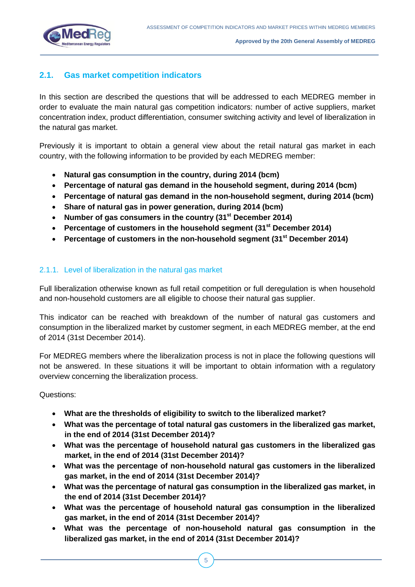

# **2.1. Gas market competition indicators**

In this section are described the questions that will be addressed to each MEDREG member in order to evaluate the main natural gas competition indicators: number of active suppliers, market concentration index, product differentiation, consumer switching activity and level of liberalization in the natural gas market.

Previously it is important to obtain a general view about the retail natural gas market in each country, with the following information to be provided by each MEDREG member:

- **Natural gas consumption in the country, during 2014 (bcm)**
- **Percentage of natural gas demand in the household segment, during 2014 (bcm)**
- **Percentage of natural gas demand in the non-household segment, during 2014 (bcm)**
- **Share of natural gas in power generation, during 2014 (bcm)**
- **Number of gas consumers in the country (31st December 2014)**
- **Percentage of customers in the household segment (31st December 2014)**
- **Percentage of customers in the non-household segment (31st December 2014)**

#### 2.1.1. Level of liberalization in the natural gas market

Full liberalization otherwise known as full retail competition or full deregulation is when household and non-household customers are all eligible to choose their natural gas supplier.

This indicator can be reached with breakdown of the number of natural gas customers and consumption in the liberalized market by customer segment, in each MEDREG member, at the end of 2014 (31st December 2014).

For MEDREG members where the liberalization process is not in place the following questions will not be answered. In these situations it will be important to obtain information with a regulatory overview concerning the liberalization process.

Questions:

- **What are the thresholds of eligibility to switch to the liberalized market?**
- **What was the percentage of total natural gas customers in the liberalized gas market, in the end of 2014 (31st December 2014)?**
- **What was the percentage of household natural gas customers in the liberalized gas market, in the end of 2014 (31st December 2014)?**
- **What was the percentage of non-household natural gas customers in the liberalized gas market, in the end of 2014 (31st December 2014)?**
- **What was the percentage of natural gas consumption in the liberalized gas market, in the end of 2014 (31st December 2014)?**
- **What was the percentage of household natural gas consumption in the liberalized gas market, in the end of 2014 (31st December 2014)?**
- **What was the percentage of non-household natural gas consumption in the liberalized gas market, in the end of 2014 (31st December 2014)?**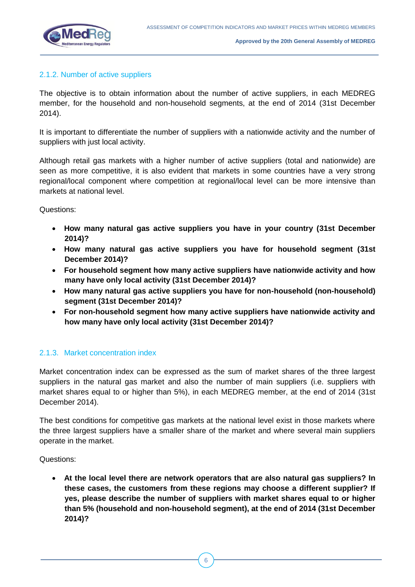

#### 2.1.2. Number of active suppliers

The objective is to obtain information about the number of active suppliers, in each MEDREG member, for the household and non-household segments, at the end of 2014 (31st December 2014).

It is important to differentiate the number of suppliers with a nationwide activity and the number of suppliers with just local activity.

Although retail gas markets with a higher number of active suppliers (total and nationwide) are seen as more competitive, it is also evident that markets in some countries have a very strong regional/local component where competition at regional/local level can be more intensive than markets at national level.

Questions:

- **How many natural gas active suppliers you have in your country (31st December 2014)?**
- **How many natural gas active suppliers you have for household segment (31st December 2014)?**
- **For household segment how many active suppliers have nationwide activity and how many have only local activity (31st December 2014)?**
- **How many natural gas active suppliers you have for non-household (non-household) segment (31st December 2014)?**
- **For non-household segment how many active suppliers have nationwide activity and how many have only local activity (31st December 2014)?**

## 2.1.3. Market concentration index

Market concentration index can be expressed as the sum of market shares of the three largest suppliers in the natural gas market and also the number of main suppliers (i.e. suppliers with market shares equal to or higher than 5%), in each MEDREG member, at the end of 2014 (31st December 2014).

The best conditions for competitive gas markets at the national level exist in those markets where the three largest suppliers have a smaller share of the market and where several main suppliers operate in the market.

Questions:

 **At the local level there are network operators that are also natural gas suppliers? In these cases, the customers from these regions may choose a different supplier? If yes, please describe the number of suppliers with market shares equal to or higher than 5% (household and non-household segment), at the end of 2014 (31st December 2014)?**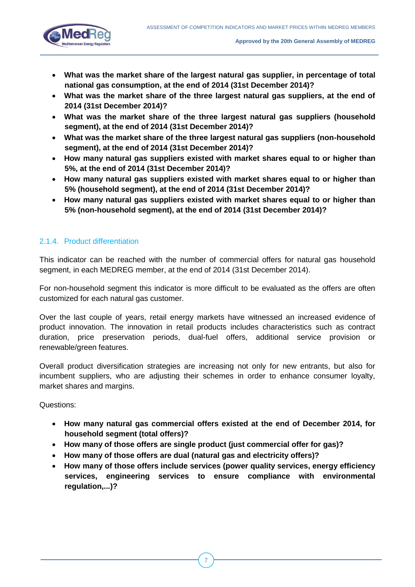

- **What was the market share of the largest natural gas supplier, in percentage of total national gas consumption, at the end of 2014 (31st December 2014)?**
- **What was the market share of the three largest natural gas suppliers, at the end of 2014 (31st December 2014)?**
- **What was the market share of the three largest natural gas suppliers (household segment), at the end of 2014 (31st December 2014)?**
- **What was the market share of the three largest natural gas suppliers (non-household segment), at the end of 2014 (31st December 2014)?**
- **How many natural gas suppliers existed with market shares equal to or higher than 5%, at the end of 2014 (31st December 2014)?**
- **How many natural gas suppliers existed with market shares equal to or higher than 5% (household segment), at the end of 2014 (31st December 2014)?**
- **How many natural gas suppliers existed with market shares equal to or higher than 5% (non-household segment), at the end of 2014 (31st December 2014)?**

## 2.1.4. Product differentiation

This indicator can be reached with the number of commercial offers for natural gas household segment, in each MEDREG member, at the end of 2014 (31st December 2014).

For non-household segment this indicator is more difficult to be evaluated as the offers are often customized for each natural gas customer.

Over the last couple of years, retail energy markets have witnessed an increased evidence of product innovation. The innovation in retail products includes characteristics such as contract duration, price preservation periods, dual-fuel offers, additional service provision or renewable/green features.

Overall product diversification strategies are increasing not only for new entrants, but also for incumbent suppliers, who are adjusting their schemes in order to enhance consumer loyalty, market shares and margins.

Questions:

- **How many natural gas commercial offers existed at the end of December 2014, for household segment (total offers)?**
- **How many of those offers are single product (just commercial offer for gas)?**
- **How many of those offers are dual (natural gas and electricity offers)?**
- **How many of those offers include services (power quality services, energy efficiency services, engineering services to ensure compliance with environmental regulation,...)?**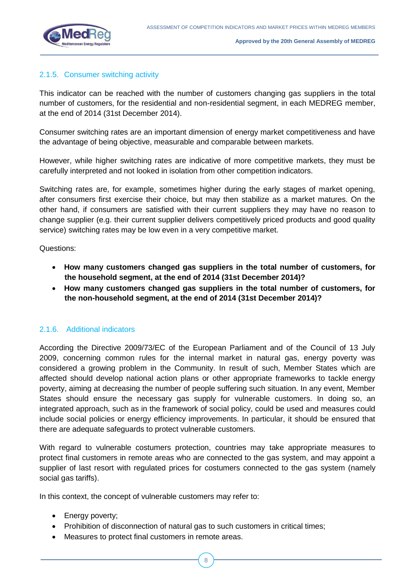

#### 2.1.5. Consumer switching activity

This indicator can be reached with the number of customers changing gas suppliers in the total number of customers, for the residential and non-residential segment, in each MEDREG member, at the end of 2014 (31st December 2014).

Consumer switching rates are an important dimension of energy market competitiveness and have the advantage of being objective, measurable and comparable between markets.

However, while higher switching rates are indicative of more competitive markets, they must be carefully interpreted and not looked in isolation from other competition indicators.

Switching rates are, for example, sometimes higher during the early stages of market opening, after consumers first exercise their choice, but may then stabilize as a market matures. On the other hand, if consumers are satisfied with their current suppliers they may have no reason to change supplier (e.g. their current supplier delivers competitively priced products and good quality service) switching rates may be low even in a very competitive market.

Questions:

- **How many customers changed gas suppliers in the total number of customers, for the household segment, at the end of 2014 (31st December 2014)?**
- **How many customers changed gas suppliers in the total number of customers, for the non-household segment, at the end of 2014 (31st December 2014)?**

#### 2.1.6. Additional indicators

According the Directive 2009/73/EC of the European Parliament and of the Council of 13 July 2009, concerning common rules for the internal market in natural gas, energy poverty was considered a growing problem in the Community. In result of such, Member States which are affected should develop national action plans or other appropriate frameworks to tackle energy poverty, aiming at decreasing the number of people suffering such situation. In any event, Member States should ensure the necessary gas supply for vulnerable customers. In doing so, an integrated approach, such as in the framework of social policy, could be used and measures could include social policies or energy efficiency improvements. In particular, it should be ensured that there are adequate safeguards to protect vulnerable customers.

With regard to vulnerable costumers protection, countries may take appropriate measures to protect final customers in remote areas who are connected to the gas system, and may appoint a supplier of last resort with regulated prices for costumers connected to the gas system (namely social gas tariffs).

8

In this context, the concept of vulnerable customers may refer to:

- Energy poverty;
- Prohibition of disconnection of natural gas to such customers in critical times;
- Measures to protect final customers in remote areas.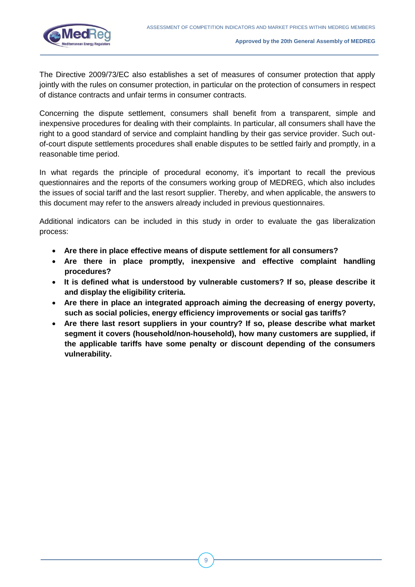

The Directive 2009/73/EC also establishes a set of measures of consumer protection that apply jointly with the rules on consumer protection, in particular on the protection of consumers in respect of distance contracts and unfair terms in consumer contracts.

Concerning the dispute settlement, consumers shall benefit from a transparent, simple and inexpensive procedures for dealing with their complaints. In particular, all consumers shall have the right to a good standard of service and complaint handling by their gas service provider. Such outof-court dispute settlements procedures shall enable disputes to be settled fairly and promptly, in a reasonable time period.

In what regards the principle of procedural economy, it's important to recall the previous questionnaires and the reports of the consumers working group of MEDREG, which also includes the issues of social tariff and the last resort supplier. Thereby, and when applicable, the answers to this document may refer to the answers already included in previous questionnaires.

Additional indicators can be included in this study in order to evaluate the gas liberalization process:

- **Are there in place effective means of dispute settlement for all consumers?**
- **Are there in place promptly, inexpensive and effective complaint handling procedures?**
- **It is defined what is understood by vulnerable customers? If so, please describe it and display the eligibility criteria.**
- **Are there in place an integrated approach aiming the decreasing of energy poverty, such as social policies, energy efficiency improvements or social gas tariffs?**
- **Are there last resort suppliers in your country? If so, please describe what market segment it covers (household/non-household), how many customers are supplied, if the applicable tariffs have some penalty or discount depending of the consumers vulnerability.**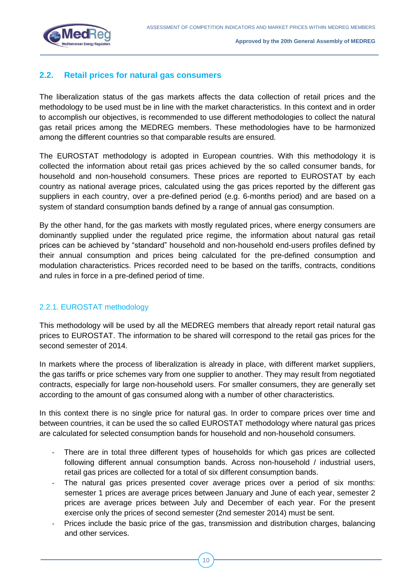

### **2.2. Retail prices for natural gas consumers**

The liberalization status of the gas markets affects the data collection of retail prices and the methodology to be used must be in line with the market characteristics. In this context and in order to accomplish our objectives, is recommended to use different methodologies to collect the natural gas retail prices among the MEDREG members. These methodologies have to be harmonized among the different countries so that comparable results are ensured.

The EUROSTAT methodology is adopted in European countries. With this methodology it is collected the information about retail gas prices achieved by the so called consumer bands, for household and non-household consumers. These prices are reported to EUROSTAT by each country as national average prices, calculated using the gas prices reported by the different gas suppliers in each country, over a pre-defined period (e.g. 6-months period) and are based on a system of standard consumption bands defined by a range of annual gas consumption.

By the other hand, for the gas markets with mostly regulated prices, where energy consumers are dominantly supplied under the regulated price regime, the information about natural gas retail prices can be achieved by "standard" household and non-household end-users profiles defined by their annual consumption and prices being calculated for the pre-defined consumption and modulation characteristics. Prices recorded need to be based on the tariffs, contracts, conditions and rules in force in a pre-defined period of time.

#### 2.2.1. EUROSTAT methodology

This methodology will be used by all the MEDREG members that already report retail natural gas prices to EUROSTAT. The information to be shared will correspond to the retail gas prices for the second semester of 2014.

In markets where the process of liberalization is already in place, with different market suppliers, the gas tariffs or price schemes vary from one supplier to another. They may result from negotiated contracts, especially for large non-household users. For smaller consumers, they are generally set according to the amount of gas consumed along with a number of other characteristics.

In this context there is no single price for natural gas. In order to compare prices over time and between countries, it can be used the so called EUROSTAT methodology where natural gas prices are calculated for selected consumption bands for household and non-household consumers.

- There are in total three different types of households for which gas prices are collected following different annual consumption bands. Across non-household / industrial users, retail gas prices are collected for a total of six different consumption bands.
- The natural gas prices presented cover average prices over a period of six months: semester 1 prices are average prices between January and June of each year, semester 2 prices are average prices between July and December of each year. For the present exercise only the prices of second semester (2nd semester 2014) must be sent.
- Prices include the basic price of the gas, transmission and distribution charges, balancing and other services.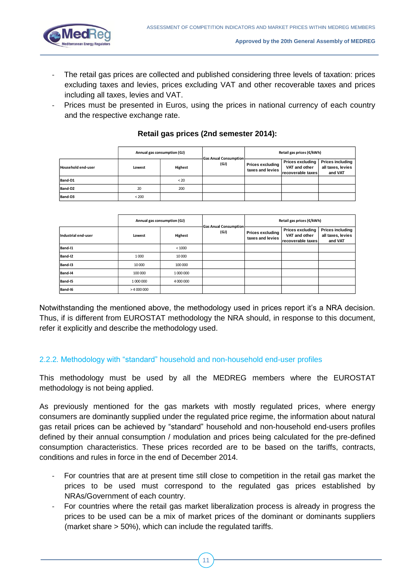

- The retail gas prices are collected and published considering three levels of taxation: prices excluding taxes and levies, prices excluding VAT and other recoverable taxes and prices including all taxes, levies and VAT.
- Prices must be presented in Euros, using the prices in national currency of each country and the respective exchange rate.

|                    | Annual gas consumption (GJ) |                | <b>Gas Anual Consumption</b> | Retail gas prices (€/kWh)                   |                                                               |                                                         |
|--------------------|-----------------------------|----------------|------------------------------|---------------------------------------------|---------------------------------------------------------------|---------------------------------------------------------|
| Household end-user | Lowest                      | <b>Highest</b> | (GJ)                         | <b>Prices excluding</b><br>taxes and levies | <b>Prices excluding</b><br>VAT and other<br>recoverable taxes | <b>Prices including</b><br>all taxes, levies<br>and VAT |
| Band-D1            |                             | < 20           |                              |                                             |                                                               |                                                         |
| Band-D2            | 20                          | 200            |                              |                                             |                                                               |                                                         |
| Band-D3            | < 200                       |                |                              |                                             |                                                               |                                                         |

#### **Retail gas prices (2nd semester 2014):**

|                     | Annual gas consumption (GJ) |                |                                      | Retail gas prices (€/kWh)                   |                                                               |                                                         |
|---------------------|-----------------------------|----------------|--------------------------------------|---------------------------------------------|---------------------------------------------------------------|---------------------------------------------------------|
| Industrial end-user | Lowest                      | <b>Highest</b> | <b>Gas Anual Consumption</b><br>(GJ) | <b>Prices excluding</b><br>taxes and levies | <b>Prices excluding</b><br>VAT and other<br>recoverable taxes | <b>Prices including</b><br>all taxes, levies<br>and VAT |
| Band-I1             |                             | < 1000         |                                      |                                             |                                                               |                                                         |
| Band-12             | 1000                        | 10000          |                                      |                                             |                                                               |                                                         |
| Band-13             | 10 000                      | 100 000        |                                      |                                             |                                                               |                                                         |
| Band-14             | 100 000                     | 1 000 000      |                                      |                                             |                                                               |                                                         |
| Band-15             | 1 000 000                   | 4 000 000      |                                      |                                             |                                                               |                                                         |
| Band-16             | >4000000                    |                |                                      |                                             |                                                               |                                                         |

Notwithstanding the mentioned above, the methodology used in prices report it's a NRA decision. Thus, if is different from EUROSTAT methodology the NRA should, in response to this document, refer it explicitly and describe the methodology used.

#### 2.2.2. Methodology with "standard" household and non-household end-user profiles

This methodology must be used by all the MEDREG members where the EUROSTAT methodology is not being applied.

As previously mentioned for the gas markets with mostly regulated prices, where energy consumers are dominantly supplied under the regulated price regime, the information about natural gas retail prices can be achieved by "standard" household and non-household end-users profiles defined by their annual consumption / modulation and prices being calculated for the pre-defined consumption characteristics. These prices recorded are to be based on the tariffs, contracts, conditions and rules in force in the end of December 2014.

- For countries that are at present time still close to competition in the retail gas market the prices to be used must correspond to the regulated gas prices established by NRAs/Government of each country.
- For countries where the retail gas market liberalization process is already in progress the prices to be used can be a mix of market prices of the dominant or dominants suppliers (market share > 50%), which can include the regulated tariffs.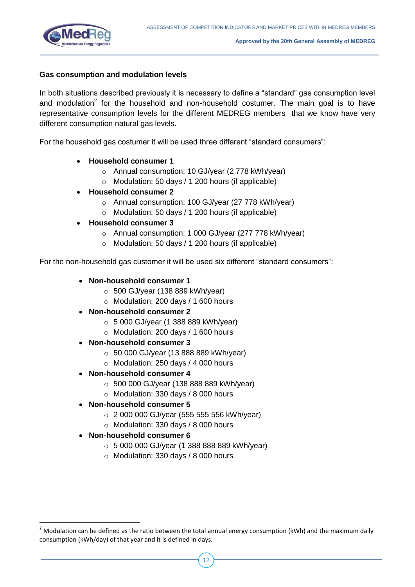

#### **Gas consumption and modulation levels**

In both situations described previously it is necessary to define a "standard" gas consumption level and modulation<sup>2</sup> for the household and non-household costumer. The main goal is to have representative consumption levels for the different MEDREG members that we know have very different consumption natural gas levels.

For the household gas costumer it will be used three different "standard consumers":

- **Household consumer 1**
	- o Annual consumption: 10 GJ/year (2 778 kWh/year)
	- o Modulation: 50 days / 1 200 hours (if applicable)
- **Household consumer 2**
	- o Annual consumption: 100 GJ/year (27 778 kWh/year)
	- o Modulation: 50 days / 1 200 hours (if applicable)
- **Household consumer 3**
	- o Annual consumption: 1 000 GJ/year (277 778 kWh/year)
	- o Modulation: 50 days / 1 200 hours (if applicable)

For the non-household gas customer it will be used six different "standard consumers":

- **Non-household consumer 1**
	- $\circ$  500 GJ/year (138 889 kWh/year)
	- o Modulation: 200 days / 1 600 hours
- **Non-household consumer 2**
	- o 5 000 GJ/year (1 388 889 kWh/year)
	- o Modulation: 200 days / 1 600 hours
- **Non-household consumer 3**
	- o 50 000 GJ/year (13 888 889 kWh/year)
	- o Modulation: 250 days / 4 000 hours
- **Non-household consumer 4**
	- o 500 000 GJ/year (138 888 889 kWh/year)
	- o Modulation: 330 days / 8 000 hours
- **Non-household consumer 5** 
	- o 2 000 000 GJ/year (555 555 556 kWh/year)
	- o Modulation: 330 days / 8 000 hours
- **Non-household consumer 6**

**.** 

- o 5 000 000 GJ/year (1 388 888 889 kWh/year)
- o Modulation: 330 days / 8 000 hours

 $2$  Modulation can be defined as the ratio between the total annual energy consumption (kWh) and the maximum daily consumption (kWh/day) of that year and it is defined in days.